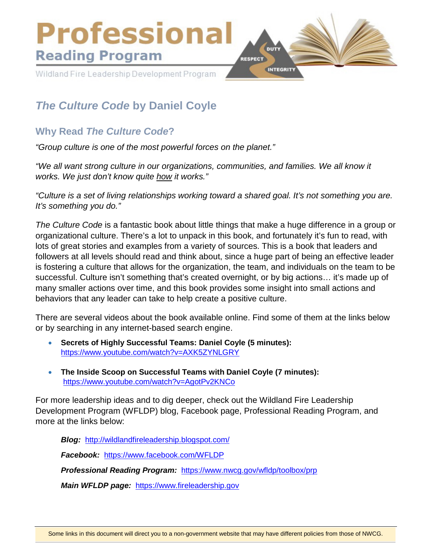

# *The Culture Code* **by Daniel Coyle**

# **Why Read** *The Culture Code***?**

*"Group culture is one of the most powerful forces on the planet."*

*"We all want strong culture in our organizations, communities, and families. We all know it works. We just don't know quite how it works."*

*"Culture is a set of living relationships working toward a shared goal. It's not something you are. It's something you do."*

*The Culture Code* is a fantastic book about little things that make a huge difference in a group or organizational culture. There's a lot to unpack in this book, and fortunately it's fun to read, with lots of great stories and examples from a variety of sources. This is a book that leaders and followers at all levels should read and think about, since a huge part of being an effective leader is fostering a culture that allows for the organization, the team, and individuals on the team to be successful. Culture isn't something that's created overnight, or by big actions… it's made up of many smaller actions over time, and this book provides some insight into small actions and behaviors that any leader can take to help create a positive culture.

There are several videos about the book available online. Find some of them at the links below or by searching in any internet-based search engine.

- **Secrets of Highly Successful Teams: Daniel Coyle (5 minutes):** <https://www.youtube.com/watch?v=AXK5ZYNLGRY>
- **The Inside Scoop on Successful Teams with Daniel Coyle (7 minutes):** <https://www.youtube.com/watch?v=AgotPv2KNCo>

For more leadership ideas and to dig deeper, check out the Wildland Fire Leadership Development Program (WFLDP) blog, Facebook page, Professional Reading Program, and more at the links below:

*Blog:* <http://wildlandfireleadership.blogspot.com/> *Facebook:* <https://www.facebook.com/WFLDP> *Professional Reading Program:* <https://www.nwcg.gov/wfldp/toolbox/prp> *Main WFLDP page:* [https://www.fireleadership.gov](https://www.fireleadership.gov/)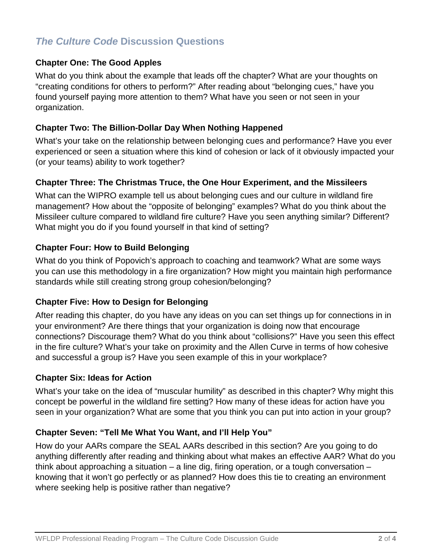# *The Culture Code* **Discussion Questions**

#### **Chapter One: The Good Apples**

What do you think about the example that leads off the chapter? What are your thoughts on "creating conditions for others to perform?" After reading about "belonging cues," have you found yourself paying more attention to them? What have you seen or not seen in your organization.

#### **Chapter Two: The Billion-Dollar Day When Nothing Happened**

What's your take on the relationship between belonging cues and performance? Have you ever experienced or seen a situation where this kind of cohesion or lack of it obviously impacted your (or your teams) ability to work together?

#### **Chapter Three: The Christmas Truce, the One Hour Experiment, and the Missileers**

What can the WIPRO example tell us about belonging cues and our culture in wildland fire management? How about the "opposite of belonging" examples? What do you think about the Missileer culture compared to wildland fire culture? Have you seen anything similar? Different? What might you do if you found yourself in that kind of setting?

#### **Chapter Four: How to Build Belonging**

What do you think of Popovich's approach to coaching and teamwork? What are some ways you can use this methodology in a fire organization? How might you maintain high performance standards while still creating strong group cohesion/belonging?

#### **Chapter Five: How to Design for Belonging**

After reading this chapter, do you have any ideas on you can set things up for connections in in your environment? Are there things that your organization is doing now that encourage connections? Discourage them? What do you think about "collisions?" Have you seen this effect in the fire culture? What's your take on proximity and the Allen Curve in terms of how cohesive and successful a group is? Have you seen example of this in your workplace?

#### **Chapter Six: Ideas for Action**

What's your take on the idea of "muscular humility" as described in this chapter? Why might this concept be powerful in the wildland fire setting? How many of these ideas for action have you seen in your organization? What are some that you think you can put into action in your group?

# **Chapter Seven: "Tell Me What You Want, and I'll Help You"**

How do your AARs compare the SEAL AARs described in this section? Are you going to do anything differently after reading and thinking about what makes an effective AAR? What do you think about approaching a situation – a line dig, firing operation, or a tough conversation – knowing that it won't go perfectly or as planned? How does this tie to creating an environment where seeking help is positive rather than negative?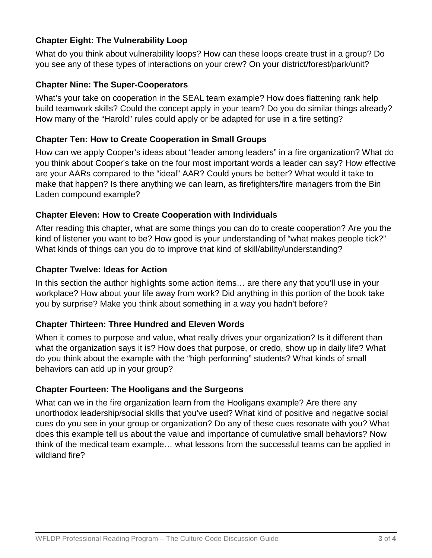# **Chapter Eight: The Vulnerability Loop**

What do you think about vulnerability loops? How can these loops create trust in a group? Do you see any of these types of interactions on your crew? On your district/forest/park/unit?

#### **Chapter Nine: The Super-Cooperators**

What's your take on cooperation in the SEAL team example? How does flattening rank help build teamwork skills? Could the concept apply in your team? Do you do similar things already? How many of the "Harold" rules could apply or be adapted for use in a fire setting?

#### **Chapter Ten: How to Create Cooperation in Small Groups**

How can we apply Cooper's ideas about "leader among leaders" in a fire organization? What do you think about Cooper's take on the four most important words a leader can say? How effective are your AARs compared to the "ideal" AAR? Could yours be better? What would it take to make that happen? Is there anything we can learn, as firefighters/fire managers from the Bin Laden compound example?

# **Chapter Eleven: How to Create Cooperation with Individuals**

After reading this chapter, what are some things you can do to create cooperation? Are you the kind of listener you want to be? How good is your understanding of "what makes people tick?" What kinds of things can you do to improve that kind of skill/ability/understanding?

#### **Chapter Twelve: Ideas for Action**

In this section the author highlights some action items... are there any that you'll use in your workplace? How about your life away from work? Did anything in this portion of the book take you by surprise? Make you think about something in a way you hadn't before?

# **Chapter Thirteen: Three Hundred and Eleven Words**

When it comes to purpose and value, what really drives your organization? Is it different than what the organization says it is? How does that purpose, or credo, show up in daily life? What do you think about the example with the "high performing" students? What kinds of small behaviors can add up in your group?

# **Chapter Fourteen: The Hooligans and the Surgeons**

What can we in the fire organization learn from the Hooligans example? Are there any unorthodox leadership/social skills that you've used? What kind of positive and negative social cues do you see in your group or organization? Do any of these cues resonate with you? What does this example tell us about the value and importance of cumulative small behaviors? Now think of the medical team example… what lessons from the successful teams can be applied in wildland fire?